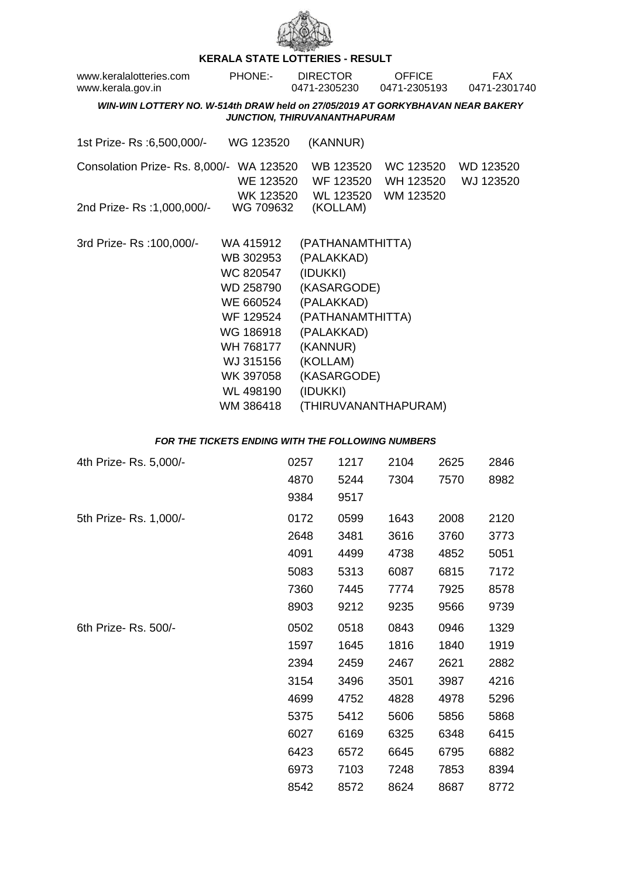

## **KERALA STATE LOTTERIES - RESULT**

| www.keralalotteries.com<br>www.kerala.gov.in                                   | <b>PHONE:-</b>                                                                                                                                           | <b>DIRECTOR</b><br>0471-2305230                                                                                                                                                      | <b>OFFICE</b><br>0471-2305193       | <b>FAX</b><br>0471-2301740 |
|--------------------------------------------------------------------------------|----------------------------------------------------------------------------------------------------------------------------------------------------------|--------------------------------------------------------------------------------------------------------------------------------------------------------------------------------------|-------------------------------------|----------------------------|
| WIN-WIN LOTTERY NO. W-514th DRAW held on 27/05/2019 AT GORKYBHAVAN NEAR BAKERY |                                                                                                                                                          | JUNCTION, THIRUVANANTHAPURAM                                                                                                                                                         |                                     |                            |
| 1st Prize-Rs : 6,500,000/-                                                     | WG 123520                                                                                                                                                | (KANNUR)                                                                                                                                                                             |                                     |                            |
| Consolation Prize- Rs. 8,000/- WA 123520                                       | WE 123520<br>WK 123520                                                                                                                                   | WB 123520<br>WF 123520<br>WL 123520                                                                                                                                                  | WC 123520<br>WH 123520<br>WM 123520 | WD 123520<br>WJ 123520     |
| 2nd Prize-Rs: 1,000,000/-                                                      | WG 709632                                                                                                                                                | (KOLLAM)                                                                                                                                                                             |                                     |                            |
| 3rd Prize-Rs: 100,000/-                                                        | WA 415912<br>WB 302953<br>WC 820547<br>WD 258790<br>WE 660524<br>WF 129524<br>WG 186918<br>WH 768177<br>WJ 315156<br>WK 397058<br>WL 498190<br>WM 386418 | (PATHANAMTHITTA)<br>(PALAKKAD)<br>(IDUKKI)<br>(KASARGODE)<br>(PALAKKAD)<br>(PATHANAMTHITTA)<br>(PALAKKAD)<br>(KANNUR)<br>(KOLLAM)<br>(KASARGODE)<br>(IDUKKI)<br>(THIRUVANANTHAPURAM) |                                     |                            |

## **FOR THE TICKETS ENDING WITH THE FOLLOWING NUMBERS**

| 4th Prize-Rs. 5,000/-  | 0257 | 1217 | 2104 | 2625 | 2846 |
|------------------------|------|------|------|------|------|
|                        | 4870 | 5244 | 7304 | 7570 | 8982 |
|                        | 9384 | 9517 |      |      |      |
| 5th Prize- Rs. 1,000/- | 0172 | 0599 | 1643 | 2008 | 2120 |
|                        | 2648 | 3481 | 3616 | 3760 | 3773 |
|                        | 4091 | 4499 | 4738 | 4852 | 5051 |
|                        | 5083 | 5313 | 6087 | 6815 | 7172 |
|                        | 7360 | 7445 | 7774 | 7925 | 8578 |
|                        | 8903 | 9212 | 9235 | 9566 | 9739 |
| 6th Prize-Rs. 500/-    | 0502 | 0518 | 0843 | 0946 | 1329 |
|                        | 1597 | 1645 | 1816 | 1840 | 1919 |
|                        | 2394 | 2459 | 2467 | 2621 | 2882 |
|                        | 3154 | 3496 | 3501 | 3987 | 4216 |
|                        | 4699 | 4752 | 4828 | 4978 | 5296 |
|                        | 5375 | 5412 | 5606 | 5856 | 5868 |
|                        | 6027 | 6169 | 6325 | 6348 | 6415 |
|                        | 6423 | 6572 | 6645 | 6795 | 6882 |
|                        | 6973 | 7103 | 7248 | 7853 | 8394 |
|                        | 8542 | 8572 | 8624 | 8687 | 8772 |